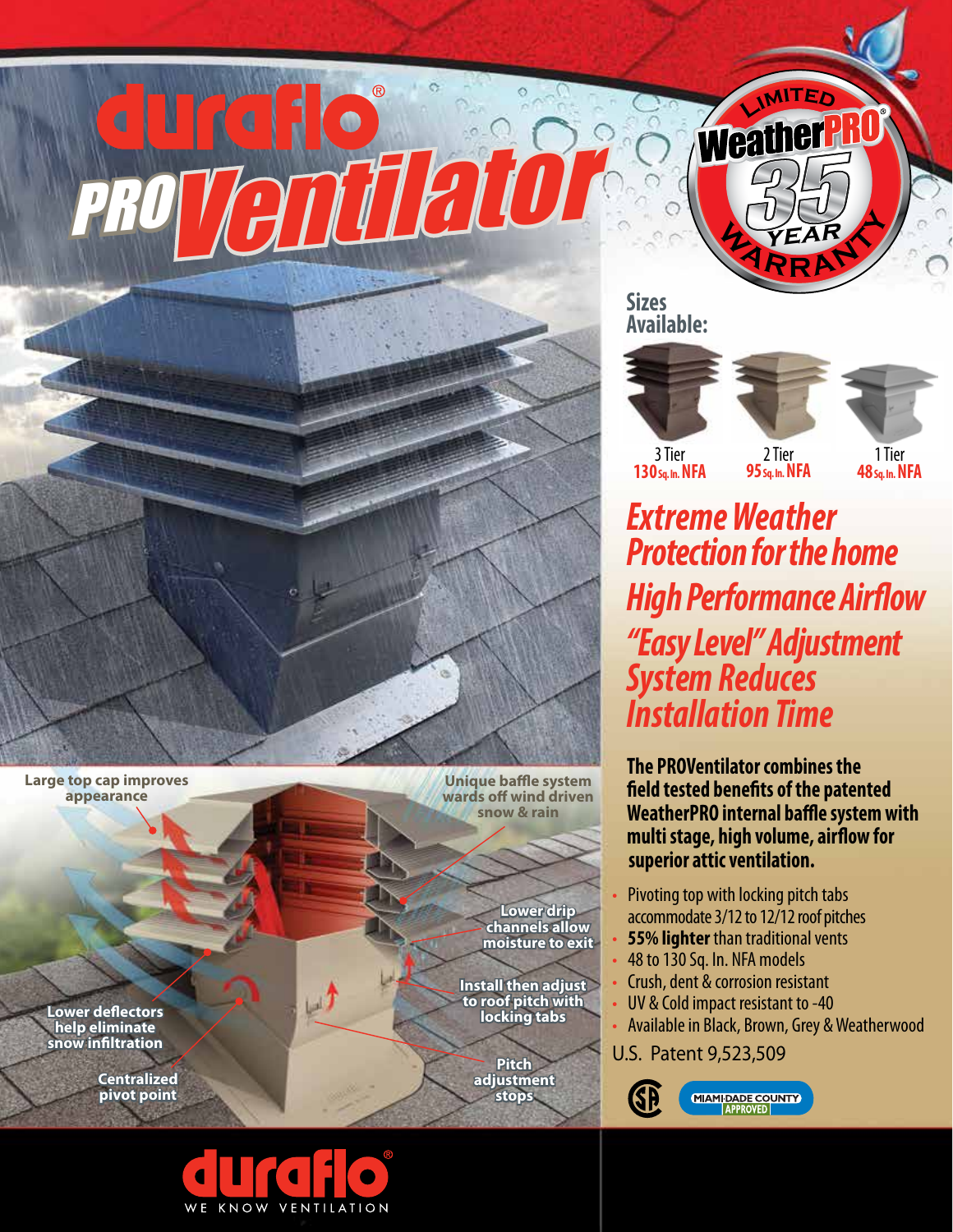$\bullet$ PROVentilator

**Large top cap improves appearance**

> **Lower deflectors help eliminate snow infiltration**

> > **Centralized pivot point**

**Unique baffle system wards off wind driven snow & rain**

> **Lower drip channels allow moisture to exit**

**Install then adjust to roof pitch with locking tabs**

> **Pitch adjustment stops**

**Sizes Available:**





**Weather** 

**MARRA year**



3 Tier **130 Sq. In. NFA**

2 Tier **95 Sq. In. NFA**

1 Tier **48 Sq. In. NFA**

*Extreme Weather Protection for the home High Performance Airflow "Easy Level" Adjustment System Reduces Installation Time* 

**The PROVentilator combines the field tested benefits of the patented WeatherPRO internal baffle system with multi stage, high volume, airflow for superior attic ventilation.**

- Pivoting top with locking pitch tabs accommodate 3/12 to 12/12 roof pitches
- **55% lighter** than traditional vents
- 48 to 130 Sq. In. NFA models
- Crush, dent & corrosion resistant
- UV & Cold impact resistant to -40
- Available in Black, Brown, Grey & Weatherwood
- U.S. Patent 9,523,509



**MIAMI-DADE COUNTY** 



ژب